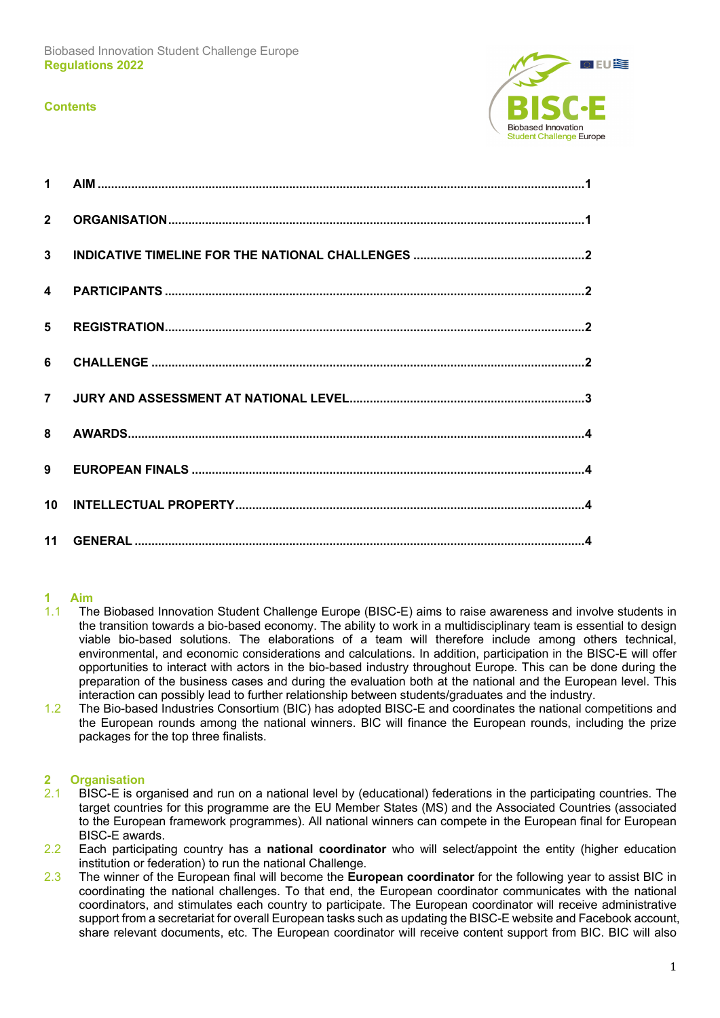### **Contents**



| $2^{\circ}$ |  |
|-------------|--|
|             |  |
|             |  |
|             |  |
|             |  |
|             |  |
|             |  |
|             |  |
| 10          |  |
|             |  |

### **1 Aim**

- 1.1 The Biobased Innovation Student Challenge Europe (BISC-E) aims to raise awareness and involve students in the transition towards a bio-based economy. The ability to work in a multidisciplinary team is essential to design viable bio-based solutions. The elaborations of a team will therefore include among others technical, environmental, and economic considerations and calculations. In addition, participation in the BISC-E will offer opportunities to interact with actors in the bio-based industry throughout Europe. This can be done during the preparation of the business cases and during the evaluation both at the national and the European level. This interaction can possibly lead to further relationship between students/graduates and the industry.
- 1.2 The Bio-based Industries Consortium (BIC) has adopted BISC-E and coordinates the national competitions and the European rounds among the national winners. BIC will finance the European rounds, including the prize packages for the top three finalists.

# **2 Organisation**

- 2.1 BISC-E is organised and run on a national level by (educational) federations in the participating countries. The target countries for this programme are the EU Member States (MS) and the Associated Countries (associated to the European framework programmes). All national winners can compete in the European final for European BISC-E awards.
- 2.2 Each participating country has a **national coordinator** who will select/appoint the entity (higher education institution or federation) to run the national Challenge.
- 2.3 The winner of the European final will become the **European coordinator** for the following year to assist BIC in coordinating the national challenges. To that end, the European coordinator communicates with the national coordinators, and stimulates each country to participate. The European coordinator will receive administrative support from a secretariat for overall European tasks such as updating the BISC-E website and Facebook account, share relevant documents, etc. The European coordinator will receive content support from BIC. BIC will also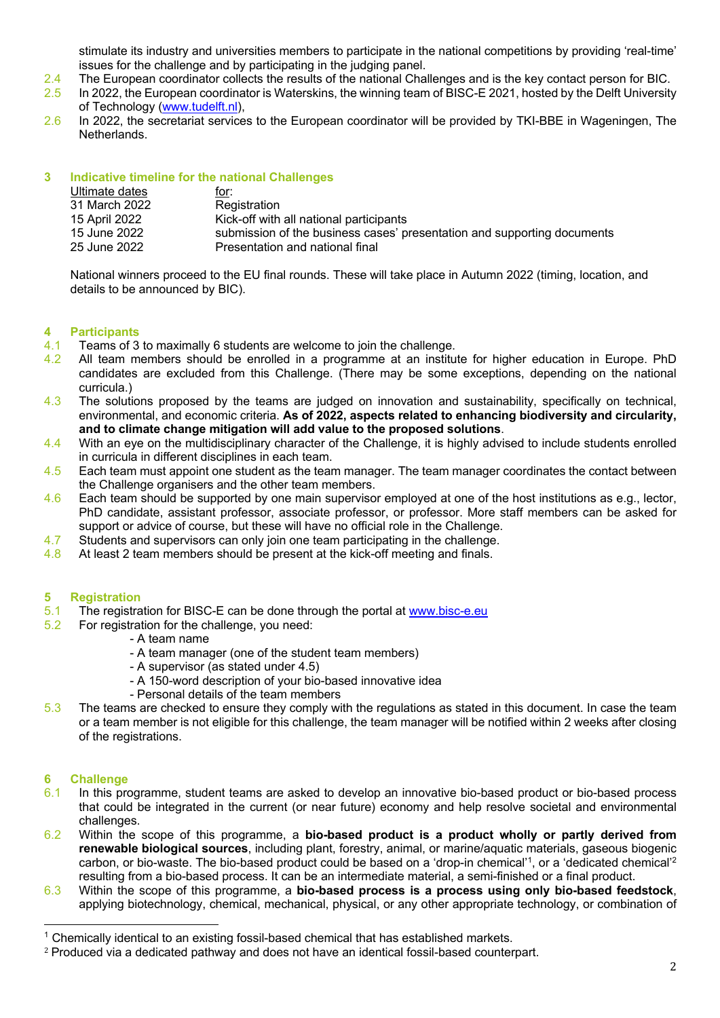stimulate its industry and universities members to participate in the national competitions by providing 'real-time' issues for the challenge and by participating in the judging panel.

- 2.4 The European coordinator collects the results of the national Challenges and is the key contact person for BIC.
- 2.5 In 2022, the European coordinator is Waterskins, the winning team of BISC-E 2021, hosted by the Delft University of Technology (www.tudelft.nl),
- 2.6 In 2022, the secretariat services to the European coordinator will be provided by TKI-BBE in Wageningen, The Netherlands.

## **3 Indicative timeline for the national Challenges**

| Ultimate dates | <u>for:</u>                                                             |
|----------------|-------------------------------------------------------------------------|
| 31 March 2022  | Registration                                                            |
| 15 April 2022  | Kick-off with all national participants                                 |
| 15 June 2022   | submission of the business cases' presentation and supporting documents |
| 25 June 2022   | Presentation and national final                                         |

National winners proceed to the EU final rounds. These will take place in Autumn 2022 (timing, location, and details to be announced by BIC).

## **4 Participants**

- 4.1 Teams of 3 to maximally 6 students are welcome to join the challenge.
- 4.2 All team members should be enrolled in a programme at an institute for higher education in Europe. PhD candidates are excluded from this Challenge. (There may be some exceptions, depending on the national curricula.)
- 4.3 The solutions proposed by the teams are judged on innovation and sustainability, specifically on technical, environmental, and economic criteria. **As of 2022, aspects related to enhancing biodiversity and circularity, and to climate change mitigation will add value to the proposed solutions**.
- 4.4 With an eye on the multidisciplinary character of the Challenge, it is highly advised to include students enrolled in curricula in different disciplines in each team.
- 4.5 Each team must appoint one student as the team manager. The team manager coordinates the contact between the Challenge organisers and the other team members.
- 4.6 Each team should be supported by one main supervisor employed at one of the host institutions as e.g., lector, PhD candidate, assistant professor, associate professor, or professor. More staff members can be asked for support or advice of course, but these will have no official role in the Challenge.
- 4.7 Students and supervisors can only join one team participating in the challenge.
- 4.8 At least 2 team members should be present at the kick-off meeting and finals.

### **5 Registration**

- 5.1 The registration for BISC-E can be done through the portal at www.bisc-e.eu
- 5.2 For registration for the challenge, you need:
	- A team name
	- A team manager (one of the student team members)
	- A supervisor (as stated under 4.5)
	- A 150-word description of your bio-based innovative idea
	- Personal details of the team members
- 5.3 The teams are checked to ensure they comply with the regulations as stated in this document. In case the team or a team member is not eligible for this challenge, the team manager will be notified within 2 weeks after closing of the registrations.

### **6 Challenge**

- 6.1 In this programme, student teams are asked to develop an innovative bio-based product or bio-based process that could be integrated in the current (or near future) economy and help resolve societal and environmental challenges.
- 6.2 Within the scope of this programme, a **bio-based product is a product wholly or partly derived from renewable biological sources**, including plant, forestry, animal, or marine/aquatic materials, gaseous biogenic carbon, or bio-waste. The bio-based product could be based on a 'drop-in chemical'<sup>1</sup>, or a 'dedicated chemical'<sup>2</sup> resulting from a bio-based process. It can be an intermediate material, a semi-finished or a final product.
- 6.3 Within the scope of this programme, a **bio-based process is a process using only bio-based feedstock**, applying biotechnology, chemical, mechanical, physical, or any other appropriate technology, or combination of

<sup>1</sup> Chemically identical to an existing fossil-based chemical that has established markets.

<sup>2</sup> Produced via a dedicated pathway and does not have an identical fossil-based counterpart.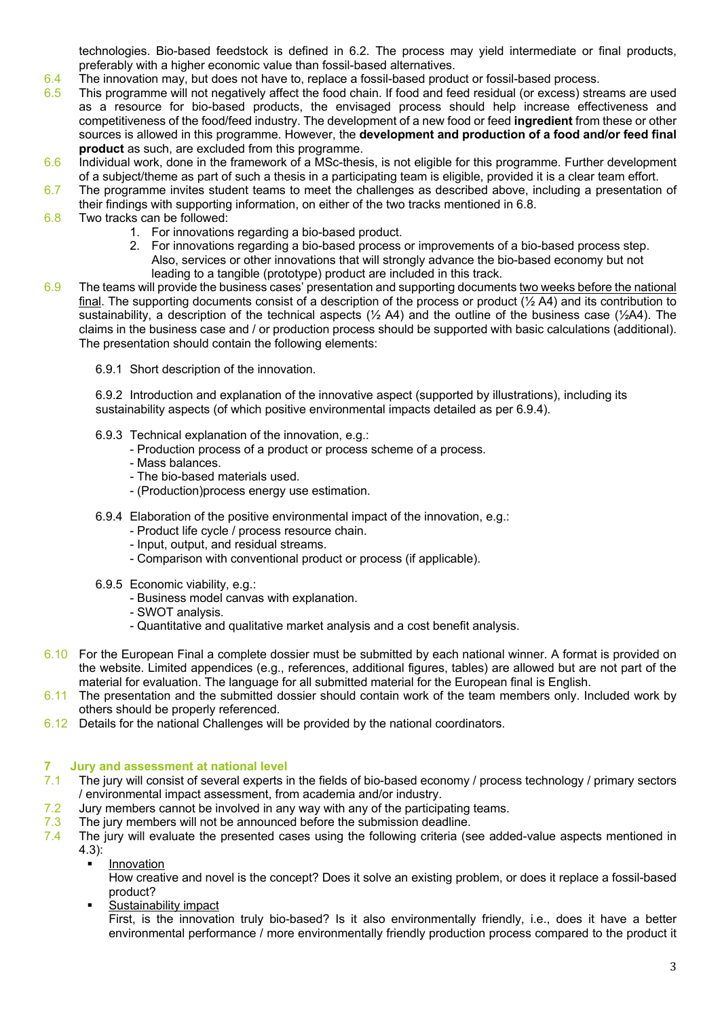technologies. Bio-based feedstock is defined in 6.2. The process may yield intermediate or final products, preferably with a higher economic value than fossil-based alternatives.

- 6.4 The innovation may, but does not have to, replace a fossil-based product or fossil-based process.
- 6.5 This programme will not negatively affect the food chain. If food and feed residual (or excess) streams are used as a resource for bio-based products, the envisaged process should help increase effectiveness and competitiveness of the food/feed industry. The development of a new food or feed **ingredient** from these or other sources is allowed in this programme. However, the **development and production of a food and/or feed final product** as such, are excluded from this programme.
- 6.6 Individual work, done in the framework of a MSc-thesis, is not eligible for this programme. Further development of a subject/theme as part of such a thesis in a participating team is eligible, provided it is a clear team effort.
- 6.7 The programme invites student teams to meet the challenges as described above, including a presentation of their findings with supporting information, on either of the two tracks mentioned in 6.8.
- 6.8 Two tracks can be followed:
	- 1. For innovations regarding a bio-based product.
	- 2. For innovations regarding a bio-based process or improvements of a bio-based process step. Also, services or other innovations that will strongly advance the bio-based economy but not leading to a tangible (prototype) product are included in this track.
- 6.9 The teams will provide the business cases' presentation and supporting documents two weeks before the national final. The supporting documents consist of a description of the process or product  $(\frac{1}{2} A4)$  and its contribution to sustainability, a description of the technical aspects ( $\frac{1}{2}$  A4) and the outline of the business case ( $\frac{1}{2}$ A4). The claims in the business case and / or production process should be supported with basic calculations (additional). The presentation should contain the following elements:
	- 6.9.1 Short description of the innovation.

6.9.2 Introduction and explanation of the innovative aspect (supported by illustrations), including its sustainability aspects (of which positive environmental impacts detailed as per 6.9.4).

- 6.9.3 Technical explanation of the innovation, e.g.:
	- Production process of a product or process scheme of a process.
	- Mass balances.
	- The bio-based materials used.
	- (Production)process energy use estimation.
- 6.9.4 Elaboration of the positive environmental impact of the innovation, e.g.:
	- Product life cycle / process resource chain.
	- Input, output, and residual streams.
	- Comparison with conventional product or process (if applicable).
- 6.9.5 Economic viability, e.g.:
	- Business model canvas with explanation.
	- SWOT analysis.
	- Quantitative and qualitative market analysis and a cost benefit analysis.
- 6.10 For the European Final a complete dossier must be submitted by each national winner. A format is provided on the website. Limited appendices (e.g., references, additional figures, tables) are allowed but are not part of the material for evaluation. The language for all submitted material for the European final is English.
- 6.11 The presentation and the submitted dossier should contain work of the team members only. Included work by others should be properly referenced.
- 6.12 Details for the national Challenges will be provided by the national coordinators.

# **7 Jury and assessment at national level**

- 7.1 The jury will consist of several experts in the fields of bio-based economy / process technology / primary sectors / environmental impact assessment, from academia and/or industry.
- 7.2 Jury members cannot be involved in any way with any of the participating teams.
- 7.3 The jury members will not be announced before the submission deadline.
- 7.4 The jury will evaluate the presented cases using the following criteria (see added-value aspects mentioned in 4.3):
	- **Innovation**

How creative and novel is the concept? Does it solve an existing problem, or does it replace a fossil-based product?

§ Sustainability impact

First, is the innovation truly bio-based? Is it also environmentally friendly, i.e., does it have a better environmental performance / more environmentally friendly production process compared to the product it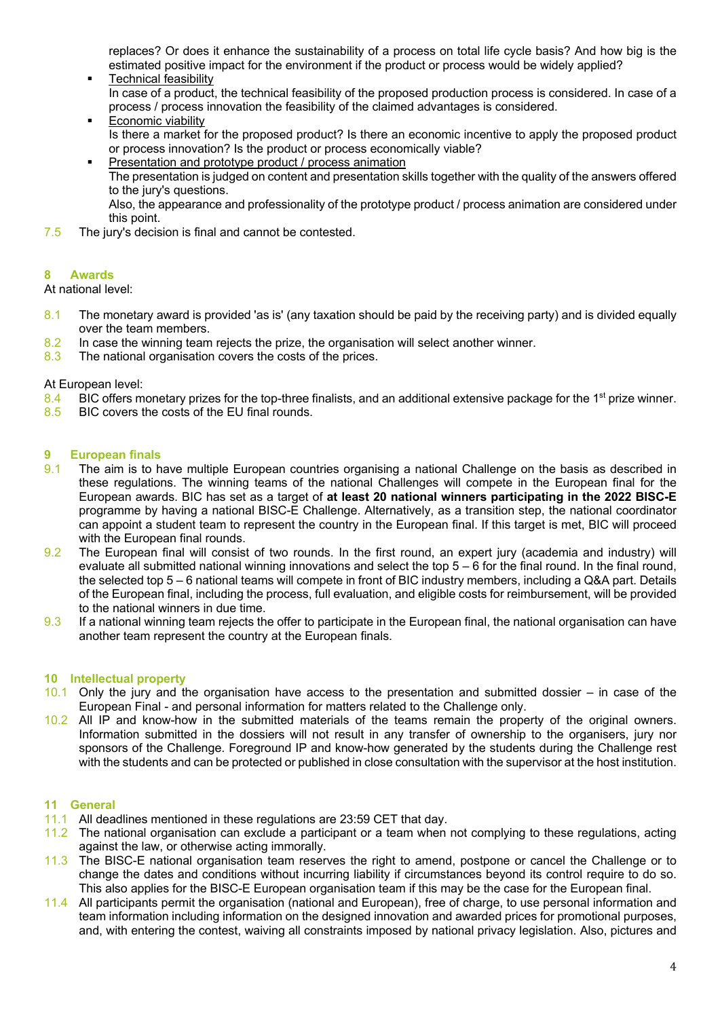replaces? Or does it enhance the sustainability of a process on total life cycle basis? And how big is the estimated positive impact for the environment if the product or process would be widely applied?

- § Technical feasibility In case of a product, the technical feasibility of the proposed production process is considered. In case of a process / process innovation the feasibility of the claimed advantages is considered.
- § Economic viability Is there a market for the proposed product? Is there an economic incentive to apply the proposed product or process innovation? Is the product or process economically viable?
	- Presentation and prototype product / process animation The presentation is judged on content and presentation skills together with the quality of the answers offered to the jury's questions.

Also, the appearance and professionality of the prototype product / process animation are considered under this point.

7.5 The jury's decision is final and cannot be contested.

### **8 Awards**

At national level:

- 8.1 The monetary award is provided 'as is' (any taxation should be paid by the receiving party) and is divided equally over the team members.
- 8.2 In case the winning team rejects the prize, the organisation will select another winner.
- 8.3 The national organisation covers the costs of the prices.

At European level:

- 8.4 BIC offers monetary prizes for the top-three finalists, and an additional extensive package for the 1<sup>st</sup> prize winner.
- 8.5 BIC covers the costs of the EU final rounds.

## **9 European finals**

- 9.1 The aim is to have multiple European countries organising a national Challenge on the basis as described in these regulations. The winning teams of the national Challenges will compete in the European final for the European awards. BIC has set as a target of **at least 20 national winners participating in the 2022 BISC-E**  programme by having a national BISC-E Challenge. Alternatively, as a transition step, the national coordinator can appoint a student team to represent the country in the European final. If this target is met, BIC will proceed with the European final rounds.
- 9.2 The European final will consist of two rounds. In the first round, an expert jury (academia and industry) will evaluate all submitted national winning innovations and select the top 5 – 6 for the final round. In the final round, the selected top 5 – 6 national teams will compete in front of BIC industry members, including a Q&A part. Details of the European final, including the process, full evaluation, and eligible costs for reimbursement, will be provided to the national winners in due time.
- 9.3 If a national winning team rejects the offer to participate in the European final, the national organisation can have another team represent the country at the European finals.

### **10 Intellectual property**

- 10.1 Only the jury and the organisation have access to the presentation and submitted dossier in case of the European Final - and personal information for matters related to the Challenge only.
- 10.2 All IP and know-how in the submitted materials of the teams remain the property of the original owners. Information submitted in the dossiers will not result in any transfer of ownership to the organisers, jury nor sponsors of the Challenge. Foreground IP and know-how generated by the students during the Challenge rest with the students and can be protected or published in close consultation with the supervisor at the host institution.

### **11 General**

- 11.1 All deadlines mentioned in these regulations are 23:59 CET that day.
- 11.2 The national organisation can exclude a participant or a team when not complying to these regulations, acting against the law, or otherwise acting immorally.
- 11.3 The BISC-E national organisation team reserves the right to amend, postpone or cancel the Challenge or to change the dates and conditions without incurring liability if circumstances beyond its control require to do so. This also applies for the BISC-E European organisation team if this may be the case for the European final.
- 11.4 All participants permit the organisation (national and European), free of charge, to use personal information and team information including information on the designed innovation and awarded prices for promotional purposes, and, with entering the contest, waiving all constraints imposed by national privacy legislation. Also, pictures and